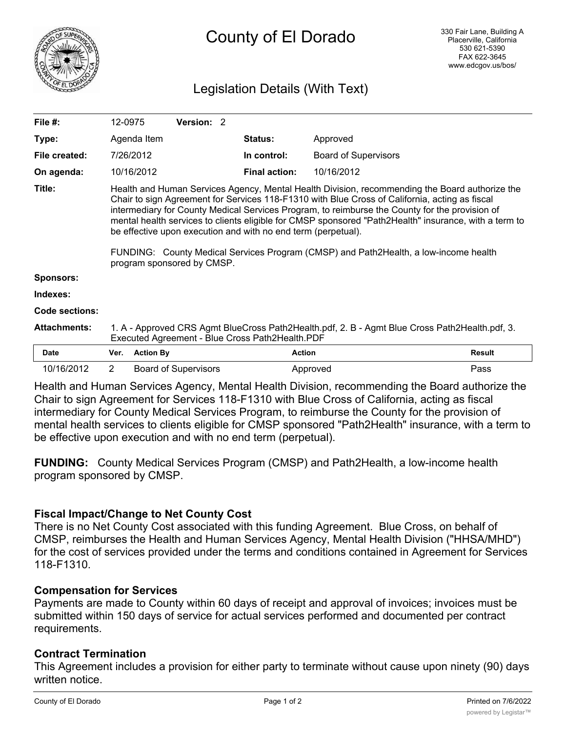

# Legislation Details (With Text)

| File #:               | 12-0975                                                                                                                                                                                                                                                                                                                                                                                                                                                                                                                                                                                            |                  | Version: 2                  |                      |                             |               |
|-----------------------|----------------------------------------------------------------------------------------------------------------------------------------------------------------------------------------------------------------------------------------------------------------------------------------------------------------------------------------------------------------------------------------------------------------------------------------------------------------------------------------------------------------------------------------------------------------------------------------------------|------------------|-----------------------------|----------------------|-----------------------------|---------------|
| Type:                 |                                                                                                                                                                                                                                                                                                                                                                                                                                                                                                                                                                                                    | Agenda Item      |                             | Status:              | Approved                    |               |
| File created:         |                                                                                                                                                                                                                                                                                                                                                                                                                                                                                                                                                                                                    | 7/26/2012        |                             | In control:          | <b>Board of Supervisors</b> |               |
| On agenda:            |                                                                                                                                                                                                                                                                                                                                                                                                                                                                                                                                                                                                    | 10/16/2012       |                             | <b>Final action:</b> | 10/16/2012                  |               |
| Title:                | Health and Human Services Agency, Mental Health Division, recommending the Board authorize the<br>Chair to sign Agreement for Services 118-F1310 with Blue Cross of California, acting as fiscal<br>intermediary for County Medical Services Program, to reimburse the County for the provision of<br>mental health services to clients eligible for CMSP sponsored "Path2Health" insurance, with a term to<br>be effective upon execution and with no end term (perpetual).<br>FUNDING: County Medical Services Program (CMSP) and Path2Health, a low-income health<br>program sponsored by CMSP. |                  |                             |                      |                             |               |
| <b>Sponsors:</b>      |                                                                                                                                                                                                                                                                                                                                                                                                                                                                                                                                                                                                    |                  |                             |                      |                             |               |
| Indexes:              |                                                                                                                                                                                                                                                                                                                                                                                                                                                                                                                                                                                                    |                  |                             |                      |                             |               |
| <b>Code sections:</b> |                                                                                                                                                                                                                                                                                                                                                                                                                                                                                                                                                                                                    |                  |                             |                      |                             |               |
| <b>Attachments:</b>   | 1. A - Approved CRS Agmt BlueCross Path2Health.pdf, 2. B - Agmt Blue Cross Path2Health.pdf, 3.<br>Executed Agreement - Blue Cross Path2Health.PDF                                                                                                                                                                                                                                                                                                                                                                                                                                                  |                  |                             |                      |                             |               |
| <b>Date</b>           | Ver.                                                                                                                                                                                                                                                                                                                                                                                                                                                                                                                                                                                               | <b>Action By</b> |                             | <b>Action</b>        |                             | <b>Result</b> |
| 10/16/2012            | $\overline{2}$                                                                                                                                                                                                                                                                                                                                                                                                                                                                                                                                                                                     |                  | <b>Board of Supervisors</b> |                      | Approved                    | Pass          |

Health and Human Services Agency, Mental Health Division, recommending the Board authorize the Chair to sign Agreement for Services 118-F1310 with Blue Cross of California, acting as fiscal intermediary for County Medical Services Program, to reimburse the County for the provision of mental health services to clients eligible for CMSP sponsored "Path2Health" insurance, with a term to be effective upon execution and with no end term (perpetual).

**FUNDING:** County Medical Services Program (CMSP) and Path2Health, a low-income health program sponsored by CMSP.

### **Fiscal Impact/Change to Net County Cost**

There is no Net County Cost associated with this funding Agreement. Blue Cross, on behalf of CMSP, reimburses the Health and Human Services Agency, Mental Health Division ("HHSA/MHD") for the cost of services provided under the terms and conditions contained in Agreement for Services 118-F1310.

### **Compensation for Services**

Payments are made to County within 60 days of receipt and approval of invoices; invoices must be submitted within 150 days of service for actual services performed and documented per contract requirements.

### **Contract Termination**

This Agreement includes a provision for either party to terminate without cause upon ninety (90) days written notice.